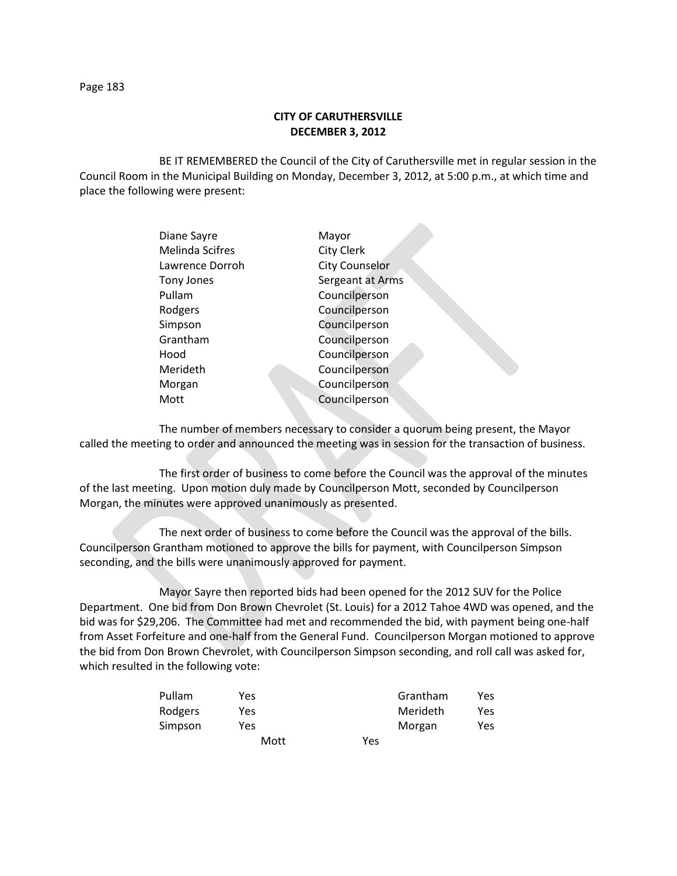## **CITY OF CARUTHERSVILLE DECEMBER 3, 2012**

BE IT REMEMBERED the Council of the City of Caruthersville met in regular session in the Council Room in the Municipal Building on Monday, December 3, 2012, at 5:00 p.m., at which time and place the following were present:

| Diane Sayre       | Mayor                 |
|-------------------|-----------------------|
| Melinda Scifres   | <b>City Clerk</b>     |
| Lawrence Dorroh   | <b>City Counselor</b> |
| <b>Tony Jones</b> | Sergeant at Arms      |
| Pullam            | Councilperson         |
| Rodgers           | Councilperson         |
| Simpson           | Councilperson         |
| Grantham          | Councilperson         |
| Hood              | Councilperson         |
| Merideth          | Councilperson         |
| Morgan            | Councilperson         |
| Mott              | Councilperson         |
|                   |                       |

The number of members necessary to consider a quorum being present, the Mayor called the meeting to order and announced the meeting was in session for the transaction of business.

The first order of business to come before the Council was the approval of the minutes of the last meeting. Upon motion duly made by Councilperson Mott, seconded by Councilperson Morgan, the minutes were approved unanimously as presented.

The next order of business to come before the Council was the approval of the bills. Councilperson Grantham motioned to approve the bills for payment, with Councilperson Simpson seconding, and the bills were unanimously approved for payment.

Mayor Sayre then reported bids had been opened for the 2012 SUV for the Police Department. One bid from Don Brown Chevrolet (St. Louis) for a 2012 Tahoe 4WD was opened, and the bid was for \$29,206. The Committee had met and recommended the bid, with payment being one-half from Asset Forfeiture and one-half from the General Fund. Councilperson Morgan motioned to approve the bid from Don Brown Chevrolet, with Councilperson Simpson seconding, and roll call was asked for, which resulted in the following vote:

| Pullam  | Yes  |     | Grantham | Yes |
|---------|------|-----|----------|-----|
| Rodgers | Yes  |     | Merideth | Yes |
| Simpson | Yes  |     | Morgan   | Yes |
|         | Mott | Yes |          |     |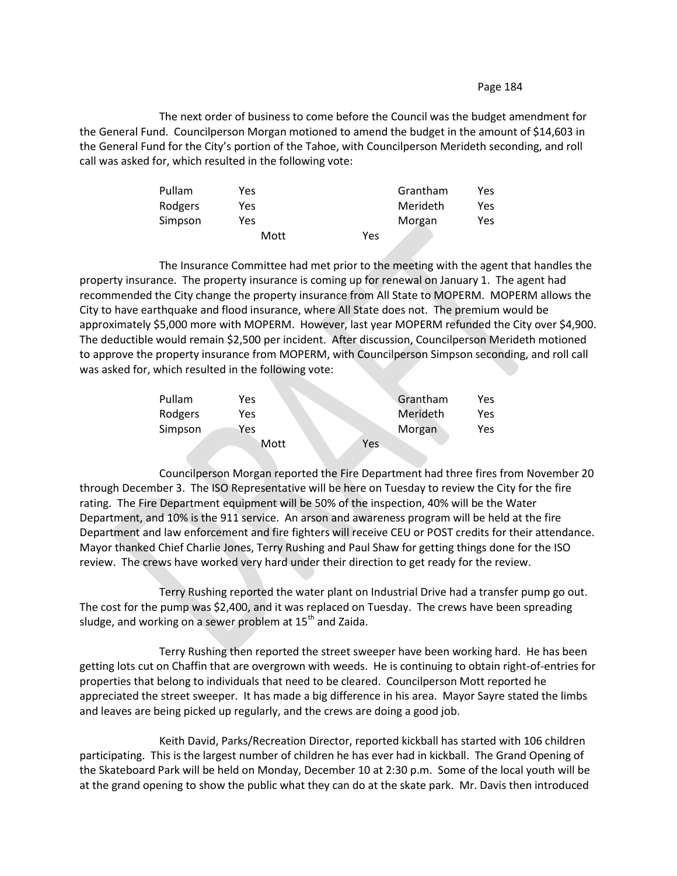## Page 184

The next order of business to come before the Council was the budget amendment for the General Fund. Councilperson Morgan motioned to amend the budget in the amount of \$14,603 in the General Fund for the City's portion of the Tahoe, with Councilperson Merideth seconding, and roll call was asked for, which resulted in the following vote:

| Pullam  | Yes  |     | Grantham | Yes |
|---------|------|-----|----------|-----|
| Rodgers | Yes  |     | Merideth | Yes |
| Simpson | Yes. |     | Morgan   | Yes |
|         | Mott | Yes |          |     |

The Insurance Committee had met prior to the meeting with the agent that handles the property insurance. The property insurance is coming up for renewal on January 1. The agent had recommended the City change the property insurance from All State to MOPERM. MOPERM allows the City to have earthquake and flood insurance, where All State does not. The premium would be approximately \$5,000 more with MOPERM. However, last year MOPERM refunded the City over \$4,900. The deductible would remain \$2,500 per incident. After discussion, Councilperson Merideth motioned to approve the property insurance from MOPERM, with Councilperson Simpson seconding, and roll call was asked for, which resulted in the following vote:

| Pullam  | Yes  |     | Grantham | Yes  |
|---------|------|-----|----------|------|
| Rodgers | Yes  |     | Merideth | Yes  |
| Simpson | Yes  |     | Morgan   | Yes. |
|         | Mott | Yes |          |      |

Councilperson Morgan reported the Fire Department had three fires from November 20 through December 3. The ISO Representative will be here on Tuesday to review the City for the fire rating. The Fire Department equipment will be 50% of the inspection, 40% will be the Water Department, and 10% is the 911 service. An arson and awareness program will be held at the fire Department and law enforcement and fire fighters will receive CEU or POST credits for their attendance. Mayor thanked Chief Charlie Jones, Terry Rushing and Paul Shaw for getting things done for the ISO review. The crews have worked very hard under their direction to get ready for the review.

Terry Rushing reported the water plant on Industrial Drive had a transfer pump go out. The cost for the pump was \$2,400, and it was replaced on Tuesday. The crews have been spreading sludge, and working on a sewer problem at 15<sup>th</sup> and Zaida.

Terry Rushing then reported the street sweeper have been working hard. He has been getting lots cut on Chaffin that are overgrown with weeds. He is continuing to obtain right-of-entries for properties that belong to individuals that need to be cleared. Councilperson Mott reported he appreciated the street sweeper. It has made a big difference in his area. Mayor Sayre stated the limbs and leaves are being picked up regularly, and the crews are doing a good job.

Keith David, Parks/Recreation Director, reported kickball has started with 106 children participating. This is the largest number of children he has ever had in kickball. The Grand Opening of the Skateboard Park will be held on Monday, December 10 at 2:30 p.m. Some of the local youth will be at the grand opening to show the public what they can do at the skate park. Mr. Davis then introduced